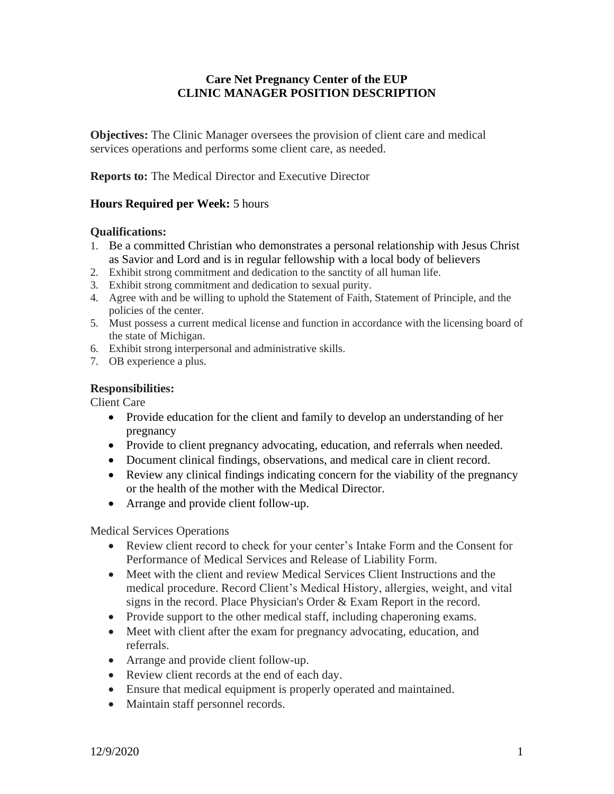# **Care Net Pregnancy Center of the EUP CLINIC MANAGER POSITION DESCRIPTION**

**Objectives:** The Clinic Manager oversees the provision of client care and medical services operations and performs some client care, as needed.

**Reports to:** The Medical Director and Executive Director

## **Hours Required per Week:** 5 hours

#### **Qualifications:**

- 1. Be a committed Christian who demonstrates a personal relationship with Jesus Christ as Savior and Lord and is in regular fellowship with a local body of believers
- 2. Exhibit strong commitment and dedication to the sanctity of all human life.
- 3. Exhibit strong commitment and dedication to sexual purity.
- 4. Agree with and be willing to uphold the Statement of Faith, Statement of Principle, and the policies of the center.
- 5. Must possess a current medical license and function in accordance with the licensing board of the state of Michigan.
- 6. Exhibit strong interpersonal and administrative skills.
- 7. OB experience a plus.

#### **Responsibilities:**

Client Care

- Provide education for the client and family to develop an understanding of her pregnancy
- Provide to client pregnancy advocating, education, and referrals when needed.
- Document clinical findings, observations, and medical care in client record.
- Review any clinical findings indicating concern for the viability of the pregnancy or the health of the mother with the Medical Director.
- Arrange and provide client follow-up.

Medical Services Operations

- Review client record to check for your center's Intake Form and the Consent for Performance of Medical Services and Release of Liability Form.
- Meet with the client and review Medical Services Client Instructions and the medical procedure. Record Client's Medical History, allergies, weight, and vital signs in the record. Place Physician's Order & Exam Report in the record.
- Provide support to the other medical staff, including chaperoning exams.
- Meet with client after the exam for pregnancy advocating, education, and referrals.
- Arrange and provide client follow-up.
- Review client records at the end of each day.
- Ensure that medical equipment is properly operated and maintained.
- Maintain staff personnel records.